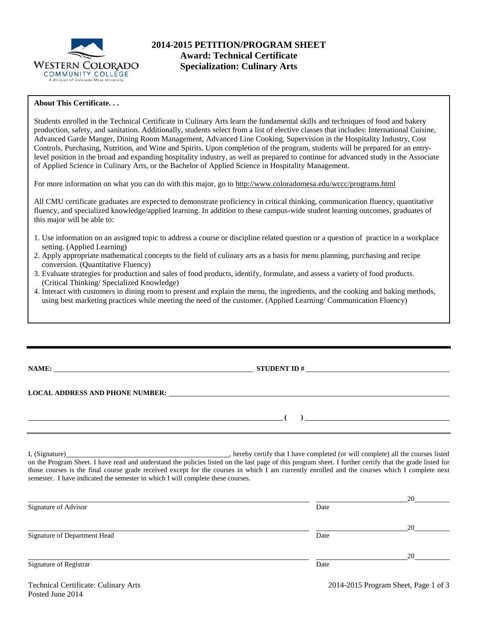

# **2014-2015 PETITION/PROGRAM SHEET Award: Technical Certificate Specialization: Culinary Arts**

### **About This Certificate. . .**

Students enrolled in the Technical Certificate in Culinary Arts learn the fundamental skills and techniques of food and bakery production, safety, and sanitation. Additionally, students select from a list of elective classes that includes: International Cuisine, Advanced Garde Manger, Dining Room Management, Advanced Line Cooking, Supervision in the Hospitality Industry, Cost Controls, Purchasing, Nutrition, and Wine and Spirits. Upon completion of the program, students will be prepared for an entrylevel position in the broad and expanding hospitality industry, as well as prepared to continue for advanced study in the Associate of Applied Science in Culinary Arts, or the Bachelor of Applied Science in Hospitality Management.

For more information on what you can do with this major, go to http://www.coloradomesa.edu/wccc/programs.html

All CMU certificate graduates are expected to demonstrate proficiency in critical thinking, communication fluency, quantitative fluency, and specialized knowledge/applied learning. In addition to these campus-wide student learning outcomes, graduates of this major will be able to:

- 1. Use information on an assigned topic to address a course or discipline related question or a question of practice in a workplace setting. (Applied Learning)
- 2. Apply appropriate mathematical concepts to the field of culinary arts as a basis for menu planning, purchasing and recipe conversion. (Quantitative Fluency)
- 3. Evaluate strategies for production and sales of food products, identify, formulate, and assess a variety of food products. (Critical Thinking/ Specialized Knowledge)
- 4. Interact with customers in dining room to present and explain the menu, the ingredients, and the cooking and baking methods, using best marketing practices while meeting the need of the customer. (Applied Learning/ Communication Fluency)

| <b>NAME:</b>                                                                                                                                                                                                                   | $STUDENT ID # \nightharpoonup$ |  |  |
|--------------------------------------------------------------------------------------------------------------------------------------------------------------------------------------------------------------------------------|--------------------------------|--|--|
|                                                                                                                                                                                                                                |                                |  |  |
| LOCAL ADDRESS AND PHONE NUMBER: THE STATE OF STATES AND RESERVE AND RESERVE AND RESERVE AND RESERVE AND RESERVE AND RESERVE AND RESERVE AND RESERVE AND RELATION OF A STATE OF A STATE OF A STATE OF A STATE OF A STATE OF A S |                                |  |  |
|                                                                                                                                                                                                                                |                                |  |  |
|                                                                                                                                                                                                                                |                                |  |  |
|                                                                                                                                                                                                                                |                                |  |  |

I, (Signature) , hereby certify that I have completed (or will complete) all the courses listed on the Program Sheet. I have read and understand the policies listed on the last page of this program sheet. I further certify that the grade listed for those courses is the final course grade received except for the courses in which I am currently enrolled and the courses which I complete next semester. I have indicated the semester in which I will complete these courses.

|                              |      | 20 |
|------------------------------|------|----|
| Signature of Advisor         | Date |    |
|                              |      | 20 |
| Signature of Department Head | Date |    |
|                              |      | 20 |
| Signature of Registrar       | Date |    |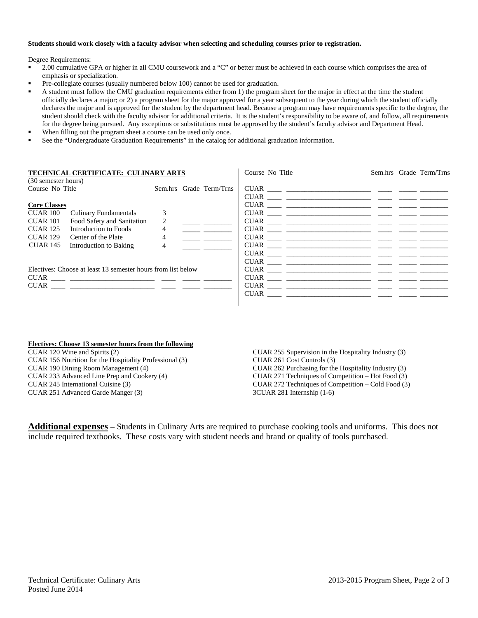#### **Students should work closely with a faculty advisor when selecting and scheduling courses prior to registration.**

Degree Requirements:

- 2.00 cumulative GPA or higher in all CMU coursework and a "C" or better must be achieved in each course which comprises the area of emphasis or specialization.
- Pre-collegiate courses (usually numbered below 100) cannot be used for graduation.
- A student must follow the CMU graduation requirements either from 1) the program sheet for the major in effect at the time the student officially declares a major; or 2) a program sheet for the major approved for a year subsequent to the year during which the student officially declares the major and is approved for the student by the department head. Because a program may have requirements specific to the degree, the student should check with the faculty advisor for additional criteria. It is the student's responsibility to be aware of, and follow, all requirements for the degree being pursued. Any exceptions or substitutions must be approved by the student's faculty advisor and Department Head.
- When filling out the program sheet a course can be used only once.
- See the "Undergraduate Graduation Requirements" in the catalog for additional graduation information.

| TECHNICAL CERTIFICATE: CULINARY ARTS                         |                         | Course No Title                                                                                                                                                                                                                                                                                                                                                                                                                                                                                                                   | Sem.hrs Grade Term/Trns |  |
|--------------------------------------------------------------|-------------------------|-----------------------------------------------------------------------------------------------------------------------------------------------------------------------------------------------------------------------------------------------------------------------------------------------------------------------------------------------------------------------------------------------------------------------------------------------------------------------------------------------------------------------------------|-------------------------|--|
| (30 semester hours)                                          |                         |                                                                                                                                                                                                                                                                                                                                                                                                                                                                                                                                   |                         |  |
| Course No Title                                              | Sem.hrs Grade Term/Trns |                                                                                                                                                                                                                                                                                                                                                                                                                                                                                                                                   |                         |  |
|                                                              |                         | $CUAR$ $\begin{tabular}{ccc} \multicolumn{3}{c}{{\text{\normalsize $\cdots$}}}\end{tabular} \begin{tabular}{l} \multicolumn{3}{c}{{\text{\normalsize $\cdots$}}}\end{tabular} \begin{tabular}{l} \multicolumn{3}{c}{{\text{\normalsize $\cdots$}}}\end{tabular} \begin{tabular}{l} \multicolumn{3}{c}{{\text{\normalsize $\cdots$}}}\end{tabular} \begin{tabular}{l} \multicolumn{3}{c}{{\text{\normalsize $\cdots$}}}\end{tabular} \begin{tabular}{l} \multicolumn{3}{c}{{\text{\normalsize $\cdots$}}}\end{tabular} \begin{tab$ |                         |  |
| <b>Core Classes</b>                                          |                         |                                                                                                                                                                                                                                                                                                                                                                                                                                                                                                                                   |                         |  |
| <b>Culinary Fundamentals</b><br>CUAR 100                     | 3                       | $\text{CUAR} \_\_\_\_\_\_\_$                                                                                                                                                                                                                                                                                                                                                                                                                                                                                                      |                         |  |
| Food Safety and Sanitation<br><b>CUAR 101</b>                | 2                       |                                                                                                                                                                                                                                                                                                                                                                                                                                                                                                                                   |                         |  |
| <b>CUAR 125</b><br>Introduction to Foods                     | 4                       |                                                                                                                                                                                                                                                                                                                                                                                                                                                                                                                                   |                         |  |
| <b>CUAR 129</b><br>Center of the Plate                       | 4                       |                                                                                                                                                                                                                                                                                                                                                                                                                                                                                                                                   |                         |  |
| CUAR 145<br>Introduction to Baking                           | $\overline{4}$          |                                                                                                                                                                                                                                                                                                                                                                                                                                                                                                                                   |                         |  |
|                                                              |                         |                                                                                                                                                                                                                                                                                                                                                                                                                                                                                                                                   |                         |  |
|                                                              |                         |                                                                                                                                                                                                                                                                                                                                                                                                                                                                                                                                   |                         |  |
| Electives: Choose at least 13 semester hours from list below |                         |                                                                                                                                                                                                                                                                                                                                                                                                                                                                                                                                   |                         |  |
|                                                              |                         |                                                                                                                                                                                                                                                                                                                                                                                                                                                                                                                                   |                         |  |
|                                                              |                         |                                                                                                                                                                                                                                                                                                                                                                                                                                                                                                                                   |                         |  |
|                                                              |                         |                                                                                                                                                                                                                                                                                                                                                                                                                                                                                                                                   |                         |  |
|                                                              |                         |                                                                                                                                                                                                                                                                                                                                                                                                                                                                                                                                   |                         |  |

#### **Electives: Choose 13 semester hours from the following**

CUAR 120 Wine and Spirits (2) CUAR 156 Nutrition for the Hospitality Professional (3) CUAR 190 Dining Room Management (4) CUAR 233 Advanced Line Prep and Cookery (4) CUAR 245 International Cuisine (3) CUAR 251 Advanced Garde Manger (3)

CUAR 255 Supervision in the Hospitality Industry (3) CUAR 261 Cost Controls (3) CUAR 262 Purchasing for the Hospitality Industry (3) CUAR 271 Techniques of Competition – Hot Food (3) CUAR 272 Techniques of Competition – Cold Food (3) 3CUAR 281 Internship (1-6)

**Additional expenses** – Students in Culinary Arts are required to purchase cooking tools and uniforms. This does not include required textbooks. These costs vary with student needs and brand or quality of tools purchased.